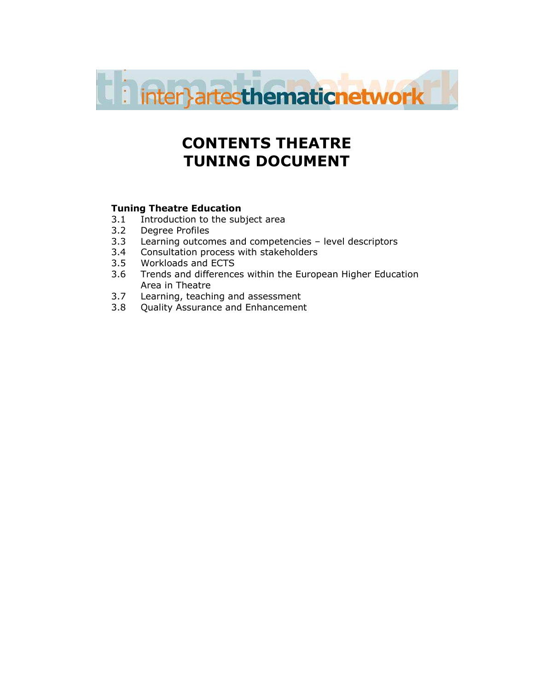

# CONTENTS THEATRE TUNING DOCUMENT

## Tuning Theatre Education

- 3.1 Introduction to the subject area<br>3.2 Degree Profiles
- 3.2 Degree Profiles<br>3.3 Learning outcor
- Learning outcomes and competencies level descriptors
- 3.4 Consultation process with stakeholders
- 3.5 Workloads and ECTS
- 3.6 Trends and differences within the European Higher Education Area in Theatre
- 3.7 Learning, teaching and assessment
- 3.8 Quality Assurance and Enhancement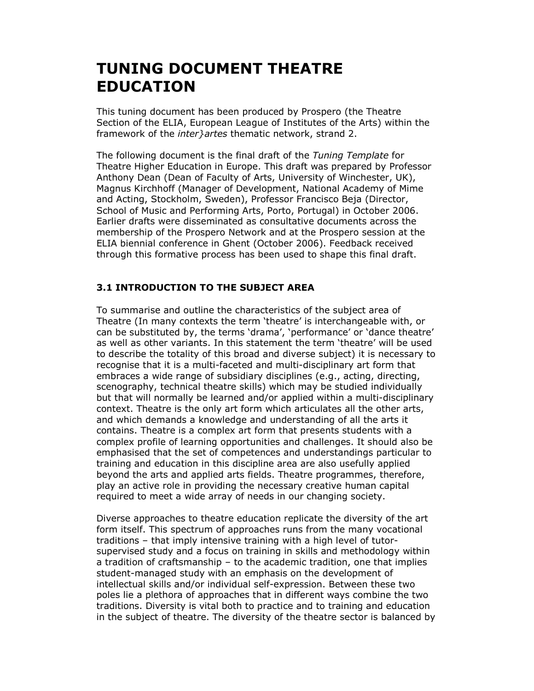# TUNING DOCUMENT THEATRE EDUCATION

This tuning document has been produced by Prospero (the Theatre Section of the ELIA, European League of Institutes of the Arts) within the framework of the *inter } artes* thematic network, strand 2.

The following document is the final draft of the Tuning Template for Theatre Higher Education in Europe. This draft was prepared by Professor Anthony Dean (Dean of Faculty of Arts, University of Winchester, UK), Magnus Kirchhoff (Manager of Development, National Academy of Mime and Acting, Stockholm, Sweden), Professor Francisco Beja (Director, School of Music and Performing Arts, Porto, Portugal) in October 2006. Earlier drafts were disseminated as consultative documents across the membership of the Prospero Network and at the Prospero session at the ELIA biennial conference in Ghent (October 2006). Feedback received through this formative process has been used to shape this final draft.

## 3.1 INTRODUCTION TO THE SUBJECT AREA

To summarise and outline the characteristics of the subject area of Theatre (In many contexts the term 'theatre' is interchangeable with, or can be substituted by, the terms 'drama', 'performance' or 'dance theatre' as well as other variants. In this statement the term 'theatre' will be used to describe the totality of this broad and diverse subject) it is necessary to recognise that it is a multi-faceted and multi-disciplinary art form that embraces a wide range of subsidiary disciplines (e.g., acting, directing, scenography, technical theatre skills) which may be studied individually but that will normally be learned and/or applied within a multi-disciplinary context. Theatre is the only art form which articulates all the other arts, and which demands a knowledge and understanding of all the arts it contains. Theatre is a complex art form that presents students with a complex profile of learning opportunities and challenges. It should also be emphasised that the set of competences and understandings particular to training and education in this discipline area are also usefully applied beyond the arts and applied arts fields. Theatre programmes, therefore, play an active role in providing the necessary creative human capital required to meet a wide array of needs in our changing society.

Diverse approaches to theatre education replicate the diversity of the art form itself. This spectrum of approaches runs from the many vocational traditions – that imply intensive training with a high level of tutorsupervised study and a focus on training in skills and methodology within a tradition of craftsmanship – to the academic tradition, one that implies student-managed study with an emphasis on the development of intellectual skills and/or individual self-expression. Between these two poles lie a plethora of approaches that in different ways combine the two traditions. Diversity is vital both to practice and to training and education in the subject of theatre. The diversity of the theatre sector is balanced by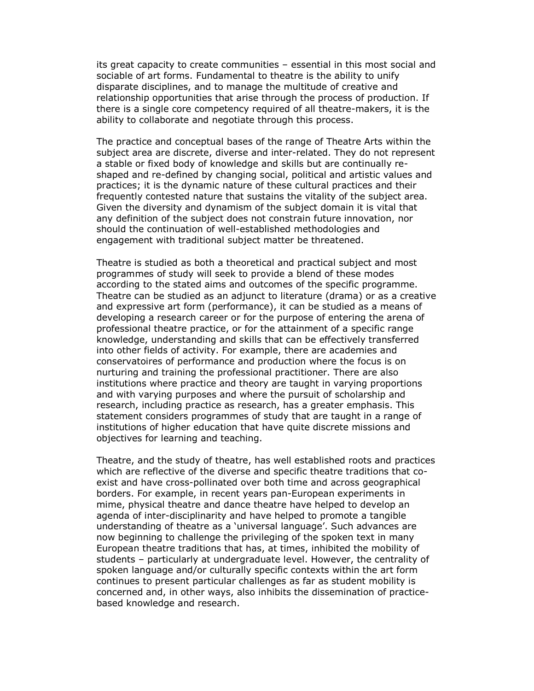its great capacity to create communities – essential in this most social and sociable of art forms. Fundamental to theatre is the ability to unify disparate disciplines, and to manage the multitude of creative and relationship opportunities that arise through the process of production. If there is a single core competency required of all theatre-makers, it is the ability to collaborate and negotiate through this process.

The practice and conceptual bases of the range of Theatre Arts within the subject area are discrete, diverse and inter-related. They do not represent a stable or fixed body of knowledge and skills but are continually reshaped and re-defined by changing social, political and artistic values and practices; it is the dynamic nature of these cultural practices and their frequently contested nature that sustains the vitality of the subject area. Given the diversity and dynamism of the subject domain it is vital that any definition of the subject does not constrain future innovation, nor should the continuation of well-established methodologies and engagement with traditional subject matter be threatened.

Theatre is studied as both a theoretical and practical subject and most programmes of study will seek to provide a blend of these modes according to the stated aims and outcomes of the specific programme. Theatre can be studied as an adjunct to literature (drama) or as a creative and expressive art form (performance), it can be studied as a means of developing a research career or for the purpose of entering the arena of professional theatre practice, or for the attainment of a specific range knowledge, understanding and skills that can be effectively transferred into other fields of activity. For example, there are academies and conservatoires of performance and production where the focus is on nurturing and training the professional practitioner. There are also institutions where practice and theory are taught in varying proportions and with varying purposes and where the pursuit of scholarship and research, including practice as research, has a greater emphasis. This statement considers programmes of study that are taught in a range of institutions of higher education that have quite discrete missions and objectives for learning and teaching.

Theatre, and the study of theatre, has well established roots and practices which are reflective of the diverse and specific theatre traditions that coexist and have cross-pollinated over both time and across geographical borders. For example, in recent years pan-European experiments in mime, physical theatre and dance theatre have helped to develop an agenda of inter-disciplinarity and have helped to promote a tangible understanding of theatre as a 'universal language'. Such advances are now beginning to challenge the privileging of the spoken text in many European theatre traditions that has, at times, inhibited the mobility of students – particularly at undergraduate level. However, the centrality of spoken language and/or culturally specific contexts within the art form continues to present particular challenges as far as student mobility is concerned and, in other ways, also inhibits the dissemination of practicebased knowledge and research.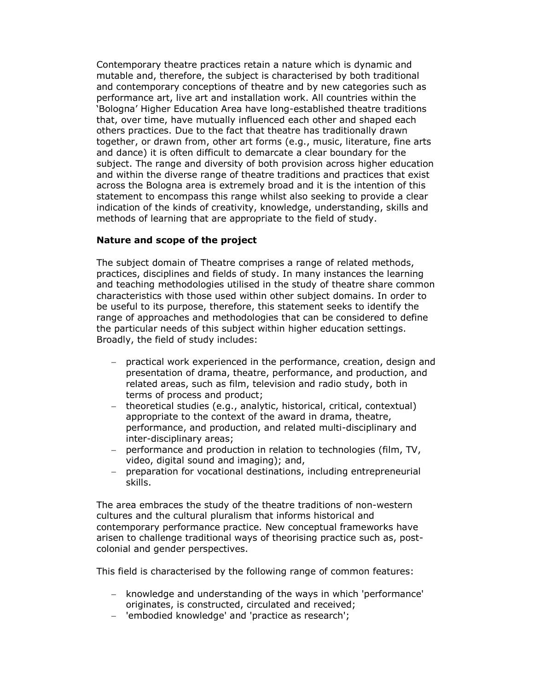Contemporary theatre practices retain a nature which is dynamic and mutable and, therefore, the subject is characterised by both traditional and contemporary conceptions of theatre and by new categories such as performance art, live art and installation work. All countries within the 'Bologna' Higher Education Area have long-established theatre traditions that, over time, have mutually influenced each other and shaped each others practices. Due to the fact that theatre has traditionally drawn together, or drawn from, other art forms (e.g., music, literature, fine arts and dance) it is often difficult to demarcate a clear boundary for the subject. The range and diversity of both provision across higher education and within the diverse range of theatre traditions and practices that exist across the Bologna area is extremely broad and it is the intention of this statement to encompass this range whilst also seeking to provide a clear indication of the kinds of creativity, knowledge, understanding, skills and methods of learning that are appropriate to the field of study.

#### Nature and scope of the project

The subject domain of Theatre comprises a range of related methods, practices, disciplines and fields of study. In many instances the learning and teaching methodologies utilised in the study of theatre share common characteristics with those used within other subject domains. In order to be useful to its purpose, therefore, this statement seeks to identify the range of approaches and methodologies that can be considered to define the particular needs of this subject within higher education settings. Broadly, the field of study includes:

- − practical work experienced in the performance, creation, design and presentation of drama, theatre, performance, and production, and related areas, such as film, television and radio study, both in terms of process and product;
- − theoretical studies (e.g., analytic, historical, critical, contextual) appropriate to the context of the award in drama, theatre, performance, and production, and related multi-disciplinary and inter-disciplinary areas;
- − performance and production in relation to technologies (film, TV, video, digital sound and imaging); and,
- − preparation for vocational destinations, including entrepreneurial skills.

The area embraces the study of the theatre traditions of non-western cultures and the cultural pluralism that informs historical and contemporary performance practice. New conceptual frameworks have arisen to challenge traditional ways of theorising practice such as, postcolonial and gender perspectives.

This field is characterised by the following range of common features:

- − knowledge and understanding of the ways in which 'performance' originates, is constructed, circulated and received;
- − 'embodied knowledge' and 'practice as research';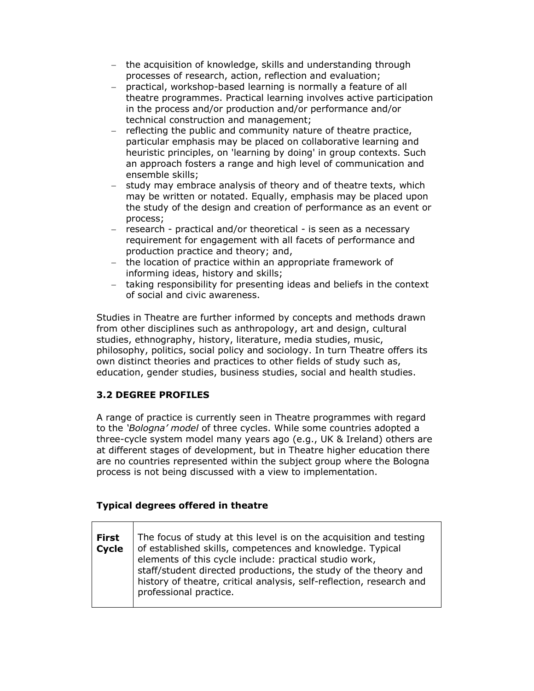- − the acquisition of knowledge, skills and understanding through processes of research, action, reflection and evaluation;
- − practical, workshop-based learning is normally a feature of all theatre programmes. Practical learning involves active participation in the process and/or production and/or performance and/or technical construction and management;
- − reflecting the public and community nature of theatre practice, particular emphasis may be placed on collaborative learning and heuristic principles, on 'learning by doing' in group contexts. Such an approach fosters a range and high level of communication and ensemble skills;
- − study may embrace analysis of theory and of theatre texts, which may be written or notated. Equally, emphasis may be placed upon the study of the design and creation of performance as an event or process;
- − research practical and/or theoretical is seen as a necessary requirement for engagement with all facets of performance and production practice and theory; and,
- − the location of practice within an appropriate framework of informing ideas, history and skills;
- − taking responsibility for presenting ideas and beliefs in the context of social and civic awareness.

Studies in Theatre are further informed by concepts and methods drawn from other disciplines such as anthropology, art and design, cultural studies, ethnography, history, literature, media studies, music, philosophy, politics, social policy and sociology. In turn Theatre offers its own distinct theories and practices to other fields of study such as, education, gender studies, business studies, social and health studies.

# 3.2 DEGREE PROFILES

A range of practice is currently seen in Theatre programmes with regard to the 'Bologna' model of three cycles. While some countries adopted a three-cycle system model many years ago (e.g., UK & Ireland) others are at different stages of development, but in Theatre higher education there are no countries represented within the subject group where the Bologna process is not being discussed with a view to implementation.

# Typical degrees offered in theatre

| <b>First</b><br>Cycle | The focus of study at this level is on the acquisition and testing<br>of established skills, competences and knowledge. Typical<br>elements of this cycle include: practical studio work, |
|-----------------------|-------------------------------------------------------------------------------------------------------------------------------------------------------------------------------------------|
|                       | staff/student directed productions, the study of the theory and<br>history of theatre, critical analysis, self-reflection, research and<br>professional practice.                         |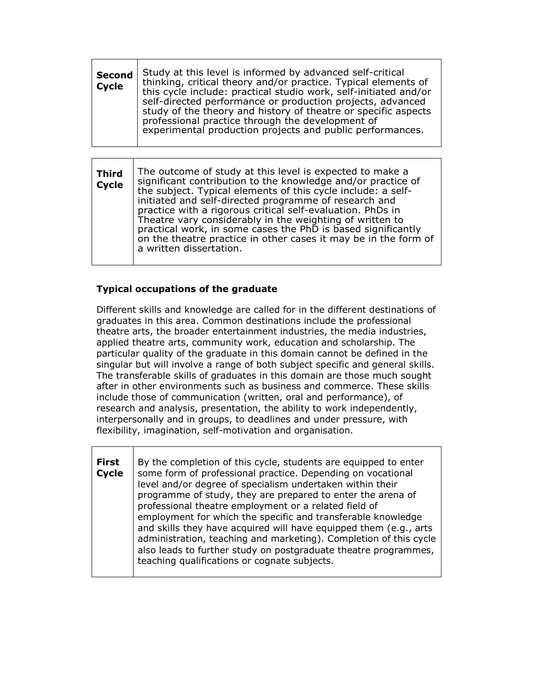| <b>Second</b><br><b>Cycle</b> | Study at this level is informed by advanced self-critical<br>thinking, critical theory and/or practice. Typical elements of<br>this cycle include: practical studio work, self-initiated and/or<br>self-directed performance or production projects, advanced<br>study of the theory and history of theatre or specific aspects<br>professional practice through the development of<br>experimental production projects and public performances. |
|-------------------------------|--------------------------------------------------------------------------------------------------------------------------------------------------------------------------------------------------------------------------------------------------------------------------------------------------------------------------------------------------------------------------------------------------------------------------------------------------|
|                               |                                                                                                                                                                                                                                                                                                                                                                                                                                                  |

| <b>Third</b><br><b>Cycle</b> | The outcome of study at this level is expected to make a<br>significant contribution to the knowledge and/or practice of<br>the subject. Typical elements of this cycle include: a self-<br>initiated and self-directed programme of research and<br>practice with a rigorous critical self-evaluation. PhDs in<br>Theatre vary considerably in the weighting of written to<br>practical work, in some cases the PhD is based significantly<br>on the theatre practice in other cases it may be in the form of<br>a written dissertation. |
|------------------------------|-------------------------------------------------------------------------------------------------------------------------------------------------------------------------------------------------------------------------------------------------------------------------------------------------------------------------------------------------------------------------------------------------------------------------------------------------------------------------------------------------------------------------------------------|
|------------------------------|-------------------------------------------------------------------------------------------------------------------------------------------------------------------------------------------------------------------------------------------------------------------------------------------------------------------------------------------------------------------------------------------------------------------------------------------------------------------------------------------------------------------------------------------|

## Typical occupations of the graduate

Different skills and knowledge are called for in the different destinations of graduates in this area. Common destinations include the professional theatre arts, the broader entertainment industries, the media industries, applied theatre arts, community work, education and scholarship. The particular quality of the graduate in this domain cannot be defined in the singular but will involve a range of both subject specific and general skills. The transferable skills of graduates in this domain are those much sought after in other environments such as business and commerce. These skills include those of communication (written, oral and performance), of research and analysis, presentation, the ability to work independently, interpersonally and in groups, to deadlines and under pressure, with flexibility, imagination, self-motivation and organisation.

First **Cycle** By the completion of this cycle, students are equipped to enter some form of professional practice. Depending on vocational level and/or degree of specialism undertaken within their programme of study, they are prepared to enter the arena of professional theatre employment or a related field of employment for which the specific and transferable knowledge and skills they have acquired will have equipped them (e.g., arts administration, teaching and marketing). Completion of this cycle also leads to further study on postgraduate theatre programmes, teaching qualifications or cognate subjects.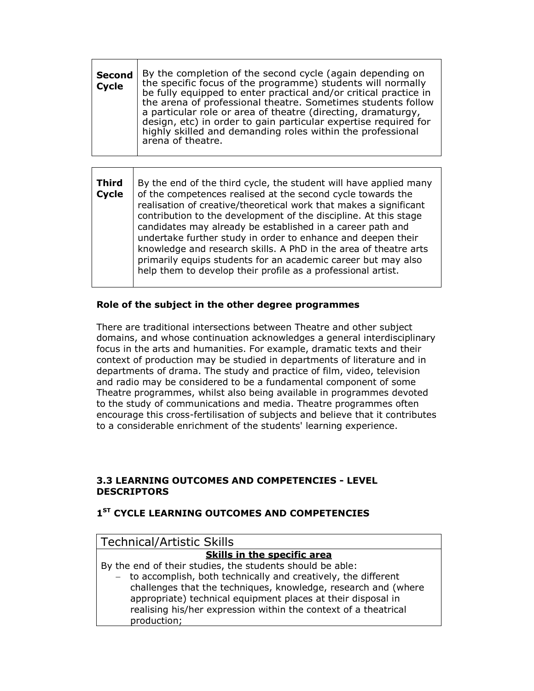| <b>Second</b><br><b>Cycle</b> | By the completion of the second cycle (again depending on<br>the specific focus of the programme) students will normally<br>be fully equipped to enter practical and/or critical practice in<br>the arena of professional theatre. Sometimes students follow<br>a particular role or area of theatre (directing, dramaturgy,<br>design, etc) in order to gain particular expertise required for<br>highly skilled and demanding roles within the professional<br>arena of theatre. |
|-------------------------------|------------------------------------------------------------------------------------------------------------------------------------------------------------------------------------------------------------------------------------------------------------------------------------------------------------------------------------------------------------------------------------------------------------------------------------------------------------------------------------|
|                               |                                                                                                                                                                                                                                                                                                                                                                                                                                                                                    |

| Third<br><b>Cycle</b> | By the end of the third cycle, the student will have applied many<br>of the competences realised at the second cycle towards the<br>realisation of creative/theoretical work that makes a significant<br>contribution to the development of the discipline. At this stage<br>candidates may already be established in a career path and<br>undertake further study in order to enhance and deepen their<br>knowledge and research skills. A PhD in the area of theatre arts<br>primarily equips students for an academic career but may also |
|-----------------------|----------------------------------------------------------------------------------------------------------------------------------------------------------------------------------------------------------------------------------------------------------------------------------------------------------------------------------------------------------------------------------------------------------------------------------------------------------------------------------------------------------------------------------------------|
|                       | help them to develop their profile as a professional artist.                                                                                                                                                                                                                                                                                                                                                                                                                                                                                 |

#### Role of the subject in the other degree programmes

There are traditional intersections between Theatre and other subject domains, and whose continuation acknowledges a general interdisciplinary focus in the arts and humanities. For example, dramatic texts and their context of production may be studied in departments of literature and in departments of drama. The study and practice of film, video, television and radio may be considered to be a fundamental component of some Theatre programmes, whilst also being available in programmes devoted to the study of communications and media. Theatre programmes often encourage this cross-fertilisation of subjects and believe that it contributes to a considerable enrichment of the students' learning experience.

#### 3.3 LEARNING OUTCOMES AND COMPETENCIES - LEVEL **DESCRIPTORS**

# 1<sup>ST</sup> CYCLE LEARNING OUTCOMES AND COMPETENCIES

| <b>Technical/Artistic Skills</b>                                |  |
|-----------------------------------------------------------------|--|
| Skills in the specific area                                     |  |
| By the end of their studies, the students should be able:       |  |
| - to accomplish, both technically and creatively, the different |  |
| challenges that the techniques, knowledge, research and (where  |  |
| appropriate) technical equipment places at their disposal in    |  |
| realising his/her expression within the context of a theatrical |  |
| production;                                                     |  |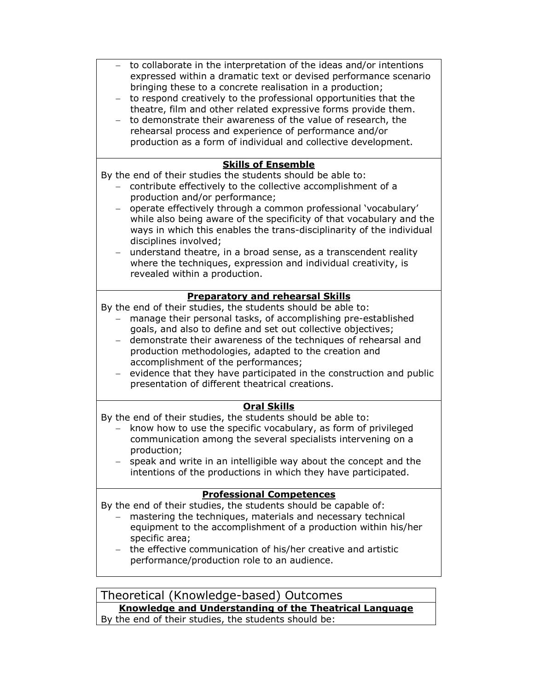| to collaborate in the interpretation of the ideas and/or intentions<br>expressed within a dramatic text or devised performance scenario<br>bringing these to a concrete realisation in a production;<br>to respond creatively to the professional opportunities that the<br>theatre, film and other related expressive forms provide them.<br>to demonstrate their awareness of the value of research, the<br>rehearsal process and experience of performance and/or<br>production as a form of individual and collective development.                                                                       |  |
|--------------------------------------------------------------------------------------------------------------------------------------------------------------------------------------------------------------------------------------------------------------------------------------------------------------------------------------------------------------------------------------------------------------------------------------------------------------------------------------------------------------------------------------------------------------------------------------------------------------|--|
| <b>Skills of Ensemble</b><br>By the end of their studies the students should be able to:<br>contribute effectively to the collective accomplishment of a<br>production and/or performance;<br>operate effectively through a common professional 'vocabulary'<br>while also being aware of the specificity of that vocabulary and the<br>ways in which this enables the trans-disciplinarity of the individual<br>disciplines involved;<br>understand theatre, in a broad sense, as a transcendent reality<br>where the techniques, expression and individual creativity, is<br>revealed within a production. |  |
| <b>Preparatory and rehearsal Skills</b><br>By the end of their studies, the students should be able to:<br>manage their personal tasks, of accomplishing pre-established<br>goals, and also to define and set out collective objectives;<br>demonstrate their awareness of the techniques of rehearsal and<br>production methodologies, adapted to the creation and<br>accomplishment of the performances;<br>evidence that they have participated in the construction and public<br>presentation of different theatrical creations.                                                                         |  |
| <b>Oral Skills</b><br>By the end of their studies, the students should be able to:<br>know how to use the specific vocabulary, as form of privileged<br>communication among the several specialists intervening on a<br>production;<br>speak and write in an intelligible way about the concept and the<br>intentions of the productions in which they have participated.                                                                                                                                                                                                                                    |  |
| <b>Professional Competences</b><br>By the end of their studies, the students should be capable of:<br>mastering the techniques, materials and necessary technical<br>equipment to the accomplishment of a production within his/her<br>specific area;<br>the effective communication of his/her creative and artistic<br>performance/production role to an audience.                                                                                                                                                                                                                                         |  |

Theoretical (Knowledge-based) Outcomes Knowledge and Understanding of the Theatrical Language

By the end of their studies, the students should be: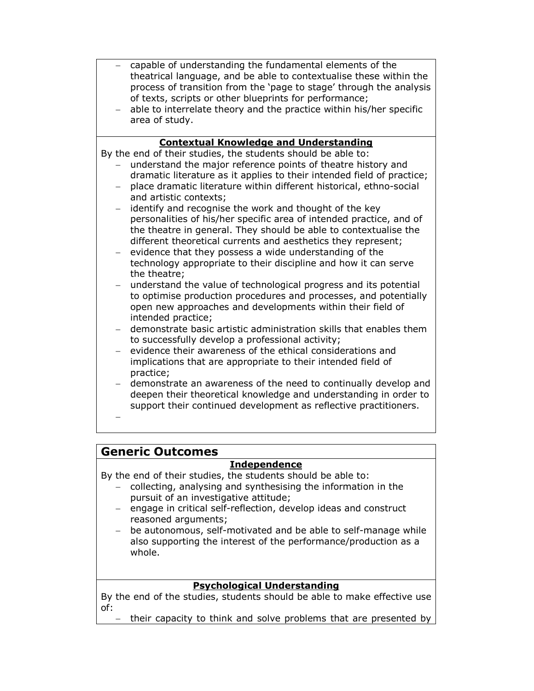- − capable of understanding the fundamental elements of the theatrical language, and be able to contextualise these within the process of transition from the 'page to stage' through the analysis of texts, scripts or other blueprints for performance;
- able to interrelate theory and the practice within his/her specific area of study.

## Contextual Knowledge and Understanding

By the end of their studies, the students should be able to:

- understand the major reference points of theatre history and dramatic literature as it applies to their intended field of practice;
- − place dramatic literature within different historical, ethno-social and artistic contexts;
- − identify and recognise the work and thought of the key personalities of his/her specific area of intended practice, and of the theatre in general. They should be able to contextualise the different theoretical currents and aesthetics they represent;
- − evidence that they possess a wide understanding of the technology appropriate to their discipline and how it can serve the theatre;
- − understand the value of technological progress and its potential to optimise production procedures and processes, and potentially open new approaches and developments within their field of intended practice;
- − demonstrate basic artistic administration skills that enables them to successfully develop a professional activity;
- evidence their awareness of the ethical considerations and implications that are appropriate to their intended field of practice;
- − demonstrate an awareness of the need to continually develop and deepen their theoretical knowledge and understanding in order to support their continued development as reflective practitioners.
- −

# Generic Outcomes

# Independence

By the end of their studies, the students should be able to:

- − collecting, analysing and synthesising the information in the pursuit of an investigative attitude;
- − engage in critical self-reflection, develop ideas and construct reasoned arguments;
- be autonomous, self-motivated and be able to self-manage while also supporting the interest of the performance/production as a whole.

# Psychological Understanding

By the end of the studies, students should be able to make effective use of:

− their capacity to think and solve problems that are presented by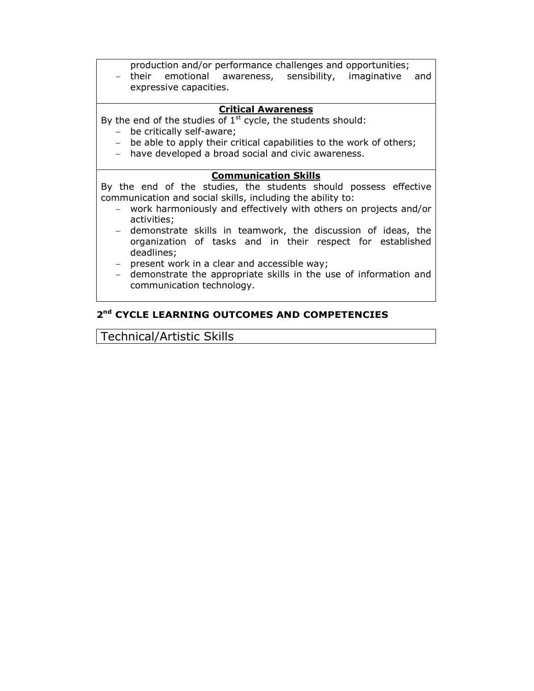production and/or performance challenges and opportunities;

− their emotional awareness, sensibility, imaginative and expressive capacities.

## Critical Awareness

By the end of the studies of  $1<sup>st</sup>$  cycle, the students should:

- − be critically self-aware;
- − be able to apply their critical capabilities to the work of others;
- − have developed a broad social and civic awareness.

#### Communication Skills

By the end of the studies, the students should possess effective communication and social skills, including the ability to:

- − work harmoniously and effectively with others on projects and/or activities;
- − demonstrate skills in teamwork, the discussion of ideas, the organization of tasks and in their respect for established deadlines;
- − present work in a clear and accessible way;
- − demonstrate the appropriate skills in the use of information and communication technology.

# 2<sup>nd</sup> CYCLE LEARNING OUTCOMES AND COMPETENCIES

Technical/Artistic Skills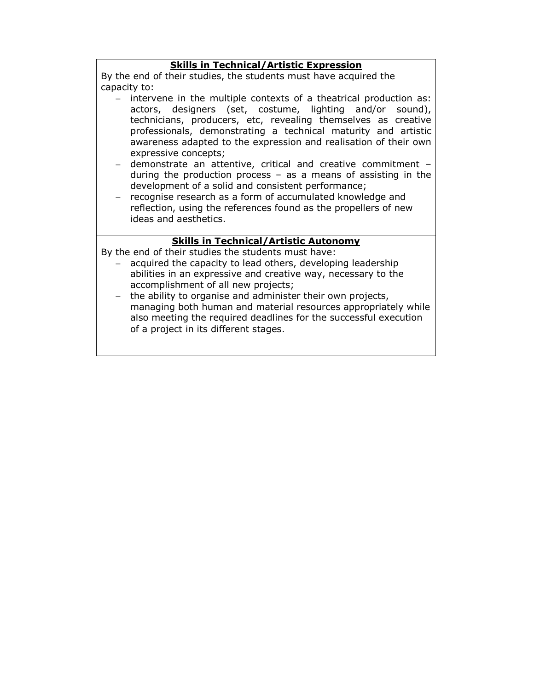#### Skills in Technical/Artistic Expression

By the end of their studies, the students must have acquired the capacity to:

- − intervene in the multiple contexts of a theatrical production as: actors, designers (set, costume, lighting and/or sound), technicians, producers, etc, revealing themselves as creative professionals, demonstrating a technical maturity and artistic awareness adapted to the expression and realisation of their own expressive concepts;
- − demonstrate an attentive, critical and creative commitment during the production process – as a means of assisting in the development of a solid and consistent performance;
- − recognise research as a form of accumulated knowledge and reflection, using the references found as the propellers of new ideas and aesthetics.

## Skills in Technical/Artistic Autonomy

By the end of their studies the students must have:

- acquired the capacity to lead others, developing leadership abilities in an expressive and creative way, necessary to the accomplishment of all new projects;
- − the ability to organise and administer their own projects, managing both human and material resources appropriately while also meeting the required deadlines for the successful execution of a project in its different stages.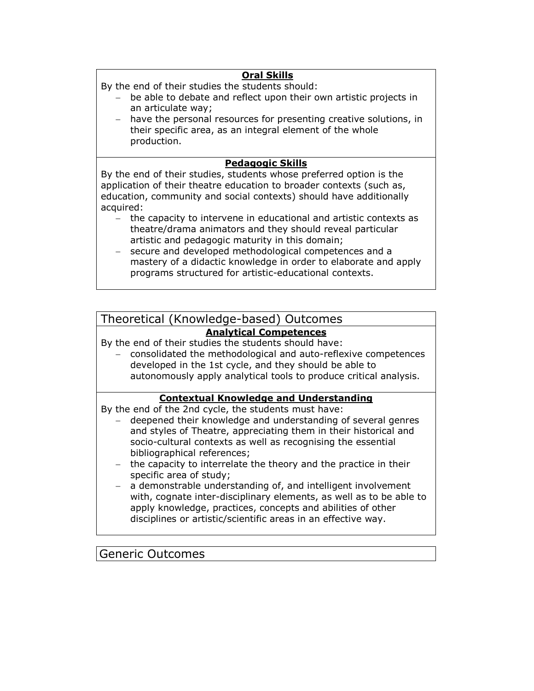## Oral Skills

By the end of their studies the students should:

- be able to debate and reflect upon their own artistic projects in an articulate way;
- − have the personal resources for presenting creative solutions, in their specific area, as an integral element of the whole production.

## Pedagogic Skills

By the end of their studies, students whose preferred option is the application of their theatre education to broader contexts (such as, education, community and social contexts) should have additionally acquired:

- − the capacity to intervene in educational and artistic contexts as theatre/drama animators and they should reveal particular artistic and pedagogic maturity in this domain;
- − secure and developed methodological competences and a mastery of a didactic knowledge in order to elaborate and apply programs structured for artistic-educational contexts.

# Theoretical (Knowledge-based) Outcomes

#### Analytical Competences

By the end of their studies the students should have:

− consolidated the methodological and auto-reflexive competences developed in the 1st cycle, and they should be able to autonomously apply analytical tools to produce critical analysis.

#### Contextual Knowledge and Understanding

By the end of the 2nd cycle, the students must have:

- − deepened their knowledge and understanding of several genres and styles of Theatre, appreciating them in their historical and socio-cultural contexts as well as recognising the essential bibliographical references;
- − the capacity to interrelate the theory and the practice in their specific area of study;
- a demonstrable understanding of, and intelligent involvement with, cognate inter-disciplinary elements, as well as to be able to apply knowledge, practices, concepts and abilities of other disciplines or artistic/scientific areas in an effective way.

# Generic Outcomes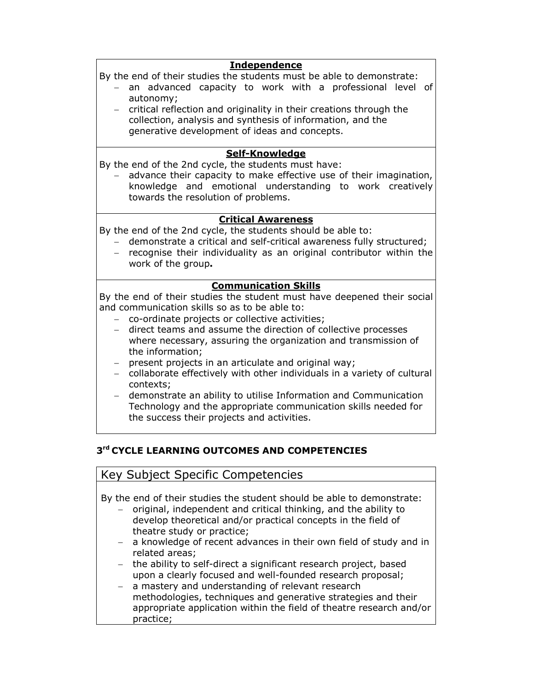#### **Independence**

By the end of their studies the students must be able to demonstrate:

- − an advanced capacity to work with a professional level of autonomy;
- − critical reflection and originality in their creations through the collection, analysis and synthesis of information, and the generative development of ideas and concepts.

## Self-Knowledge

By the end of the 2nd cycle, the students must have:

advance their capacity to make effective use of their imagination, knowledge and emotional understanding to work creatively towards the resolution of problems.

#### Critical Awareness

By the end of the 2nd cycle, the students should be able to:

- − demonstrate a critical and self-critical awareness fully structured;
- − recognise their individuality as an original contributor within the work of the group.

## Communication Skills

By the end of their studies the student must have deepened their social and communication skills so as to be able to:

- − co-ordinate projects or collective activities;
- − direct teams and assume the direction of collective processes where necessary, assuring the organization and transmission of the information;
- − present projects in an articulate and original way;
- − collaborate effectively with other individuals in a variety of cultural contexts;
- − demonstrate an ability to utilise Information and Communication Technology and the appropriate communication skills needed for the success their projects and activities.

# 3<sup>rd</sup> CYCLE LEARNING OUTCOMES AND COMPETENCIES

practice;

| Key Subject Specific Competencies                                      |  |
|------------------------------------------------------------------------|--|
|                                                                        |  |
| By the end of their studies the student should be able to demonstrate: |  |
| - original, independent and critical thinking, and the ability to      |  |
| develop theoretical and/or practical concepts in the field of          |  |
| theatre study or practice;                                             |  |
| - a knowledge of recent advances in their own field of study and in    |  |
| related areas;                                                         |  |
| - the ability to self-direct a significant research project, based     |  |
| upon a clearly focused and well-founded research proposal;             |  |
| - a mastery and understanding of relevant research                     |  |
| methodologies, techniques and generative strategies and their          |  |
| appropriate application within the field of theatre research and/or    |  |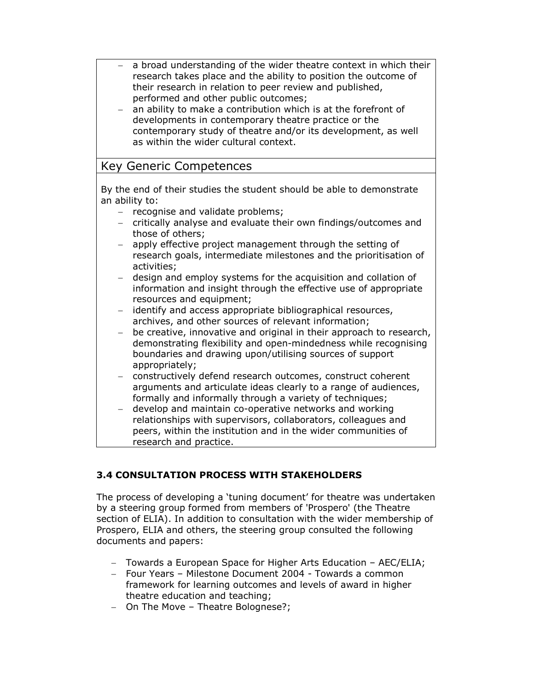- a broad understanding of the wider theatre context in which their research takes place and the ability to position the outcome of their research in relation to peer review and published, performed and other public outcomes;
- an ability to make a contribution which is at the forefront of developments in contemporary theatre practice or the contemporary study of theatre and/or its development, as well as within the wider cultural context.

# Key Generic Competences

By the end of their studies the student should be able to demonstrate an ability to:

- − recognise and validate problems;
- − critically analyse and evaluate their own findings/outcomes and those of others;
- − apply effective project management through the setting of research goals, intermediate milestones and the prioritisation of activities;
- − design and employ systems for the acquisition and collation of information and insight through the effective use of appropriate resources and equipment;
- − identify and access appropriate bibliographical resources, archives, and other sources of relevant information;
- − be creative, innovative and original in their approach to research, demonstrating flexibility and open-mindedness while recognising boundaries and drawing upon/utilising sources of support appropriately;
- − constructively defend research outcomes, construct coherent arguments and articulate ideas clearly to a range of audiences, formally and informally through a variety of techniques;
- − develop and maintain co-operative networks and working relationships with supervisors, collaborators, colleagues and peers, within the institution and in the wider communities of research and practice.

# 3.4 CONSULTATION PROCESS WITH STAKEHOLDERS

The process of developing a 'tuning document' for theatre was undertaken by a steering group formed from members of 'Prospero' (the Theatre section of ELIA). In addition to consultation with the wider membership of Prospero, ELIA and others, the steering group consulted the following documents and papers:

- − Towards a European Space for Higher Arts Education AEC/ELIA;
- − Four Years Milestone Document 2004 Towards a common framework for learning outcomes and levels of award in higher theatre education and teaching;
- − On The Move Theatre Bolognese?;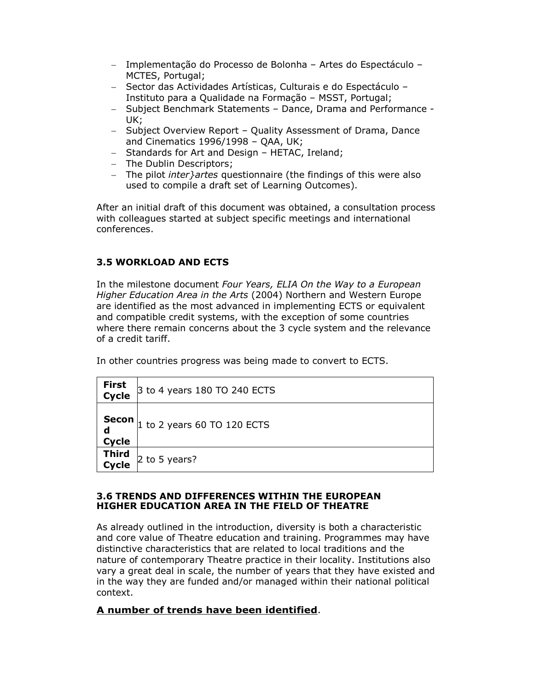- − Implementação do Processo de Bolonha Artes do Espectáculo MCTES, Portugal;
- − Sector das Actividades Artísticas, Culturais e do Espectáculo Instituto para a Qualidade na Formação – MSST, Portugal;
- − Subject Benchmark Statements Dance, Drama and Performance UK;
- − Subject Overview Report Quality Assessment of Drama, Dance and Cinematics 1996/1998 – QAA, UK;
- − Standards for Art and Design HETAC, Ireland;
- − The Dublin Descriptors;
- − The pilot *inter}artes* questionnaire (the findings of this were also used to compile a draft set of Learning Outcomes).

After an initial draft of this document was obtained, a consultation process with colleagues started at subject specific meetings and international conferences.

#### 3.5 WORKLOAD AND ECTS

In the milestone document Four Years, ELIA On the Way to a European Higher Education Area in the Arts (2004) Northern and Western Europe are identified as the most advanced in implementing ECTS or equivalent and compatible credit systems, with the exception of some countries where there remain concerns about the 3 cycle system and the relevance of a credit tariff.

In other countries progress was being made to convert to ECTS.

| First<br>Cycle             | 3 to 4 years 180 TO 240 ECTS  |
|----------------------------|-------------------------------|
| <b>Secon</b><br>d<br>Cycle | $1$ to 2 years 60 TO 120 ECTS |
| <b>Third<br/>Cycle</b>     | 2 to 5 years?                 |

#### 3.6 TRENDS AND DIFFERENCES WITHIN THE EUROPEAN HIGHER EDUCATION AREA IN THE FIELD OF THEATRE

As already outlined in the introduction, diversity is both a characteristic and core value of Theatre education and training. Programmes may have distinctive characteristics that are related to local traditions and the nature of contemporary Theatre practice in their locality. Institutions also vary a great deal in scale, the number of years that they have existed and in the way they are funded and/or managed within their national political context.

#### A number of trends have been identified.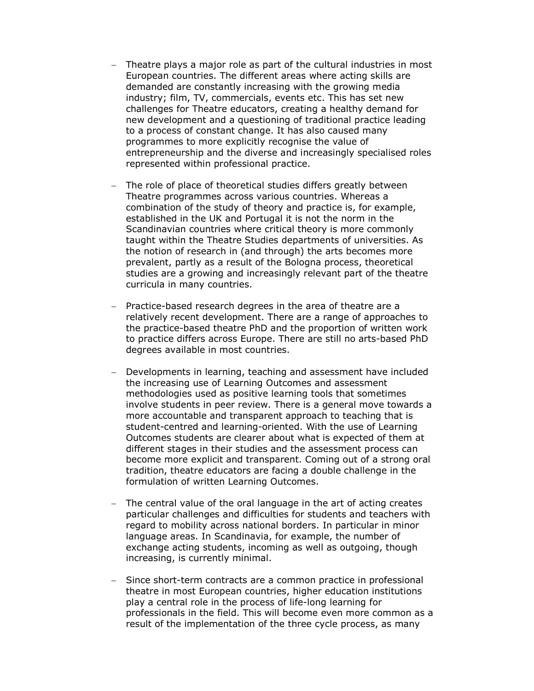- Theatre plays a major role as part of the cultural industries in most European countries. The different areas where acting skills are demanded are constantly increasing with the growing media industry; film, TV, commercials, events etc. This has set new challenges for Theatre educators, creating a healthy demand for new development and a questioning of traditional practice leading to a process of constant change. It has also caused many programmes to more explicitly recognise the value of entrepreneurship and the diverse and increasingly specialised roles represented within professional practice.
- The role of place of theoretical studies differs greatly between Theatre programmes across various countries. Whereas a combination of the study of theory and practice is, for example, established in the UK and Portugal it is not the norm in the Scandinavian countries where critical theory is more commonly taught within the Theatre Studies departments of universities. As the notion of research in (and through) the arts becomes more prevalent, partly as a result of the Bologna process, theoretical studies are a growing and increasingly relevant part of the theatre curricula in many countries.
- − Practice-based research degrees in the area of theatre are a relatively recent development. There are a range of approaches to the practice-based theatre PhD and the proportion of written work to practice differs across Europe. There are still no arts-based PhD degrees available in most countries.
- − Developments in learning, teaching and assessment have included the increasing use of Learning Outcomes and assessment methodologies used as positive learning tools that sometimes involve students in peer review. There is a general move towards a more accountable and transparent approach to teaching that is student-centred and learning-oriented. With the use of Learning Outcomes students are clearer about what is expected of them at different stages in their studies and the assessment process can become more explicit and transparent. Coming out of a strong oral tradition, theatre educators are facing a double challenge in the formulation of written Learning Outcomes.
- − The central value of the oral language in the art of acting creates particular challenges and difficulties for students and teachers with regard to mobility across national borders. In particular in minor language areas. In Scandinavia, for example, the number of exchange acting students, incoming as well as outgoing, though increasing, is currently minimal.
- Since short-term contracts are a common practice in professional theatre in most European countries, higher education institutions play a central role in the process of life-long learning for professionals in the field. This will become even more common as a result of the implementation of the three cycle process, as many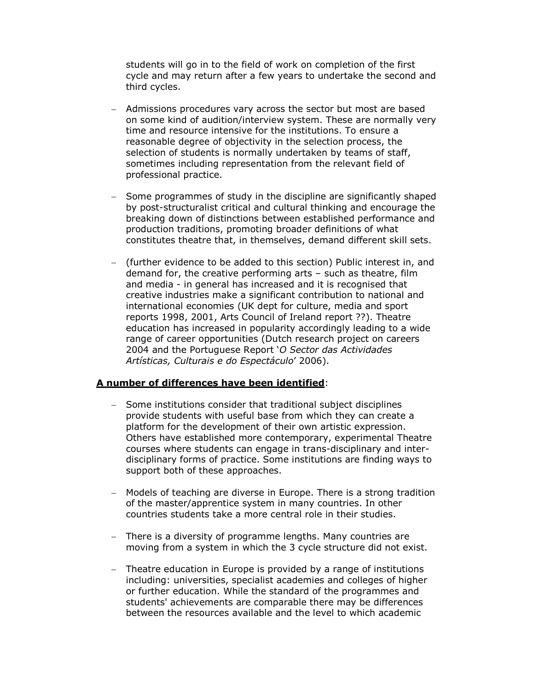students will go in to the field of work on completion of the first cycle and may return after a few years to undertake the second and third cycles.

- − Admissions procedures vary across the sector but most are based on some kind of audition/interview system. These are normally very time and resource intensive for the institutions. To ensure a reasonable degree of objectivity in the selection process, the selection of students is normally undertaken by teams of staff, sometimes including representation from the relevant field of professional practice.
- Some programmes of study in the discipline are significantly shaped by post-structuralist critical and cultural thinking and encourage the breaking down of distinctions between established performance and production traditions, promoting broader definitions of what constitutes theatre that, in themselves, demand different skill sets.
- − (further evidence to be added to this section) Public interest in, and demand for, the creative performing arts – such as theatre, film and media - in general has increased and it is recognised that creative industries make a significant contribution to national and international economies (UK dept for culture, media and sport reports 1998, 2001, Arts Council of Ireland report ??). Theatre education has increased in popularity accordingly leading to a wide range of career opportunities (Dutch research project on careers 2004 and the Portuguese Report 'O Sector das Actividades Artísticas, Culturais e do Espectáculo' 2006).

#### A number of differences have been identified:

- − Some institutions consider that traditional subject disciplines provide students with useful base from which they can create a platform for the development of their own artistic expression. Others have established more contemporary, experimental Theatre courses where students can engage in trans-disciplinary and interdisciplinary forms of practice. Some institutions are finding ways to support both of these approaches.
- − Models of teaching are diverse in Europe. There is a strong tradition of the master/apprentice system in many countries. In other countries students take a more central role in their studies.
- − There is a diversity of programme lengths. Many countries are moving from a system in which the 3 cycle structure did not exist.
- − Theatre education in Europe is provided by a range of institutions including: universities, specialist academies and colleges of higher or further education. While the standard of the programmes and students' achievements are comparable there may be differences between the resources available and the level to which academic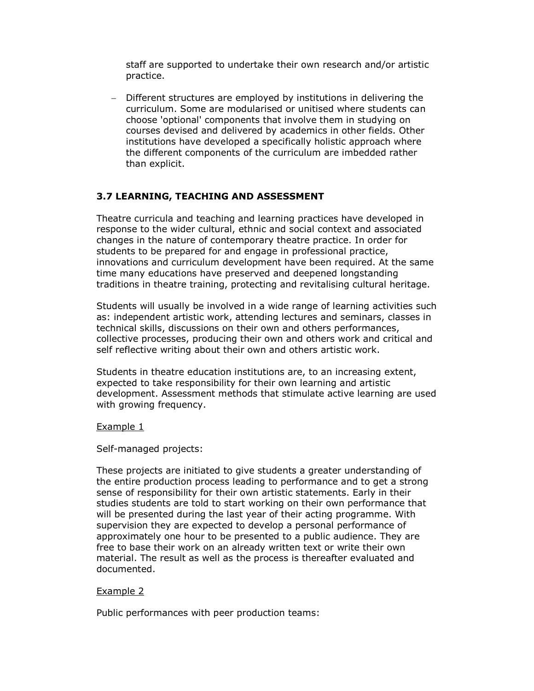staff are supported to undertake their own research and/or artistic practice.

− Different structures are employed by institutions in delivering the curriculum. Some are modularised or unitised where students can choose 'optional' components that involve them in studying on courses devised and delivered by academics in other fields. Other institutions have developed a specifically holistic approach where the different components of the curriculum are imbedded rather than explicit.

## 3.7 LEARNING, TEACHING AND ASSESSMENT

Theatre curricula and teaching and learning practices have developed in response to the wider cultural, ethnic and social context and associated changes in the nature of contemporary theatre practice. In order for students to be prepared for and engage in professional practice, innovations and curriculum development have been required. At the same time many educations have preserved and deepened longstanding traditions in theatre training, protecting and revitalising cultural heritage.

Students will usually be involved in a wide range of learning activities such as: independent artistic work, attending lectures and seminars, classes in technical skills, discussions on their own and others performances, collective processes, producing their own and others work and critical and self reflective writing about their own and others artistic work.

Students in theatre education institutions are, to an increasing extent, expected to take responsibility for their own learning and artistic development. Assessment methods that stimulate active learning are used with growing frequency.

#### Example 1

Self-managed projects:

These projects are initiated to give students a greater understanding of the entire production process leading to performance and to get a strong sense of responsibility for their own artistic statements. Early in their studies students are told to start working on their own performance that will be presented during the last year of their acting programme. With supervision they are expected to develop a personal performance of approximately one hour to be presented to a public audience. They are free to base their work on an already written text or write their own material. The result as well as the process is thereafter evaluated and documented.

#### Example 2

Public performances with peer production teams: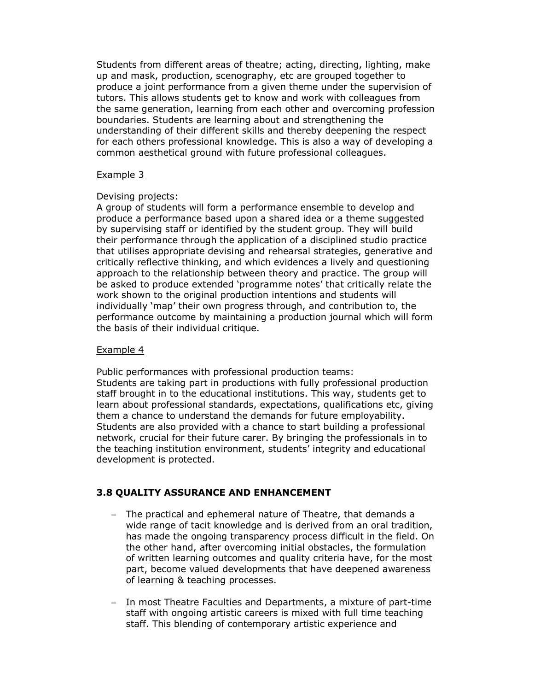Students from different areas of theatre; acting, directing, lighting, make up and mask, production, scenography, etc are grouped together to produce a joint performance from a given theme under the supervision of tutors. This allows students get to know and work with colleagues from the same generation, learning from each other and overcoming profession boundaries. Students are learning about and strengthening the understanding of their different skills and thereby deepening the respect for each others professional knowledge. This is also a way of developing a common aesthetical ground with future professional colleagues.

#### Example 3

#### Devising projects:

A group of students will form a performance ensemble to develop and produce a performance based upon a shared idea or a theme suggested by supervising staff or identified by the student group. They will build their performance through the application of a disciplined studio practice that utilises appropriate devising and rehearsal strategies, generative and critically reflective thinking, and which evidences a lively and questioning approach to the relationship between theory and practice. The group will be asked to produce extended 'programme notes' that critically relate the work shown to the original production intentions and students will individually 'map' their own progress through, and contribution to, the performance outcome by maintaining a production journal which will form the basis of their individual critique.

#### Example 4

Public performances with professional production teams: Students are taking part in productions with fully professional production staff brought in to the educational institutions. This way, students get to learn about professional standards, expectations, qualifications etc, giving them a chance to understand the demands for future employability. Students are also provided with a chance to start building a professional network, crucial for their future carer. By bringing the professionals in to the teaching institution environment, students' integrity and educational development is protected.

#### 3.8 QUALITY ASSURANCE AND ENHANCEMENT

- The practical and ephemeral nature of Theatre, that demands a wide range of tacit knowledge and is derived from an oral tradition, has made the ongoing transparency process difficult in the field. On the other hand, after overcoming initial obstacles, the formulation of written learning outcomes and quality criteria have, for the most part, become valued developments that have deepened awareness of learning & teaching processes.
- − In most Theatre Faculties and Departments, a mixture of part-time staff with ongoing artistic careers is mixed with full time teaching staff. This blending of contemporary artistic experience and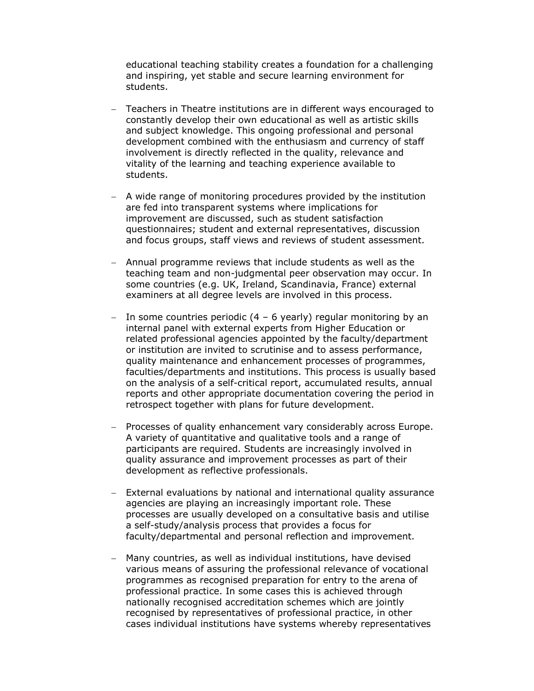educational teaching stability creates a foundation for a challenging and inspiring, yet stable and secure learning environment for students.

- − Teachers in Theatre institutions are in different ways encouraged to constantly develop their own educational as well as artistic skills and subject knowledge. This ongoing professional and personal development combined with the enthusiasm and currency of staff involvement is directly reflected in the quality, relevance and vitality of the learning and teaching experience available to students.
- − A wide range of monitoring procedures provided by the institution are fed into transparent systems where implications for improvement are discussed, such as student satisfaction questionnaires; student and external representatives, discussion and focus groups, staff views and reviews of student assessment.
- − Annual programme reviews that include students as well as the teaching team and non-judgmental peer observation may occur. In some countries (e.g. UK, Ireland, Scandinavia, France) external examiners at all degree levels are involved in this process.
- − In some countries periodic (4 6 yearly) regular monitoring by an internal panel with external experts from Higher Education or related professional agencies appointed by the faculty/department or institution are invited to scrutinise and to assess performance, quality maintenance and enhancement processes of programmes, faculties/departments and institutions. This process is usually based on the analysis of a self-critical report, accumulated results, annual reports and other appropriate documentation covering the period in retrospect together with plans for future development.
- Processes of quality enhancement vary considerably across Europe. A variety of quantitative and qualitative tools and a range of participants are required. Students are increasingly involved in quality assurance and improvement processes as part of their development as reflective professionals.
- − External evaluations by national and international quality assurance agencies are playing an increasingly important role. These processes are usually developed on a consultative basis and utilise a self-study/analysis process that provides a focus for faculty/departmental and personal reflection and improvement.
- − Many countries, as well as individual institutions, have devised various means of assuring the professional relevance of vocational programmes as recognised preparation for entry to the arena of professional practice. In some cases this is achieved through nationally recognised accreditation schemes which are jointly recognised by representatives of professional practice, in other cases individual institutions have systems whereby representatives